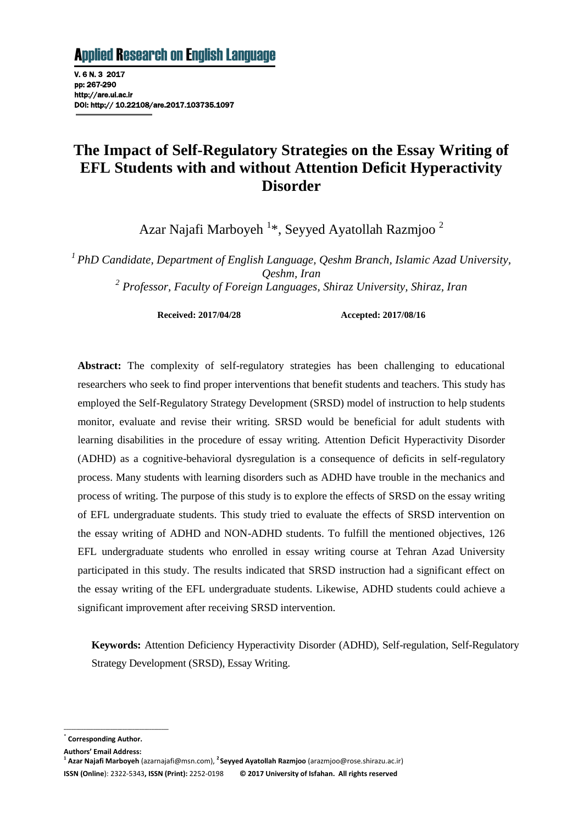V. 6 N. 3 2017 pp: 267-290 http://are.ui.ac.ir DOI: http:// 10.22108/are.2017.103735.1097

# **The Impact of Self-Regulatory Strategies on the Essay Writing of EFL Students with and without Attention Deficit Hyperactivity Disorder**

Azar Najafi Marboyeh<sup>1\*</sup>, Seyyed Ayatollah Razmjoo<sup>2</sup>

*<sup>1</sup>PhD Candidate, Department of English Language, Qeshm Branch, Islamic Azad University, Qeshm, Iran*

*2 Professor, Faculty of Foreign Languages, Shiraz University, Shiraz, Iran*

**Received: 2017/04/28 Accepted: 2017/08/16**

**Abstract:** The complexity of self-regulatory strategies has been challenging to educational researchers who seek to find proper interventions that benefit students and teachers. This study has employed the Self-Regulatory Strategy Development (SRSD) model of instruction to help students monitor, evaluate and revise their writing. SRSD would be beneficial for adult students with learning disabilities in the procedure of essay writing. Attention Deficit Hyperactivity Disorder (ADHD) as a cognitive-behavioral dysregulation is a consequence of deficits in self-regulatory process. Many students with learning disorders such as ADHD have trouble in the mechanics and process of writing. The purpose of this study is to explore the effects of SRSD on the essay writing of EFL undergraduate students. This study tried to evaluate the effects of SRSD intervention on the essay writing of ADHD and NON-ADHD students. To fulfill the mentioned objectives, 126 EFL undergraduate students who enrolled in essay writing course at Tehran Azad University participated in this study. The results indicated that SRSD instruction had a significant effect on the essay writing of the EFL undergraduate students. Likewise, ADHD students could achieve a significant improvement after receiving SRSD intervention.

**Keywords:** Attention Deficiency Hyperactivity Disorder (ADHD), Self-regulation, Self-Regulatory Strategy Development (SRSD), Essay Writing.

\* **Corresponding Author.**

**Authors' Email Address:**

**\_\_\_\_\_\_\_\_\_\_\_\_\_\_\_\_\_\_\_\_\_\_\_\_\_\_\_\_\_\_\_\_\_\_\_\_\_\_\_\_\_\_\_**

**<sup>1</sup> Azar Najafi Marboyeh** (azarnajafi@msn.com), **<sup>2</sup>Seyyed Ayatollah Razmjoo** (arazmjoo@rose.shirazu.ac.ir) **ISSN (Online**): 2322-5343**, ISSN (Print):** 2252-0198 **© 2017 University of Isfahan. All rights reserved**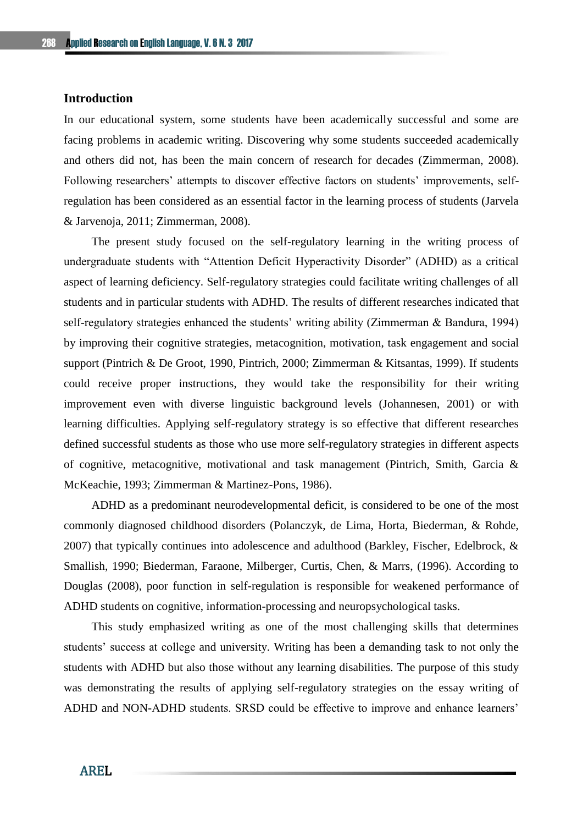#### **Introduction**

In our educational system, some students have been academically successful and some are facing problems in academic writing. Discovering why some students succeeded academically and others did not, has been the main concern of research for decades (Zimmerman, 2008). Following researchers' attempts to discover effective factors on students' improvements, selfregulation has been considered as an essential factor in the learning process of students (Jarvela & Jarvenoja, 2011; Zimmerman, 2008).

The present study focused on the self-regulatory learning in the writing process of undergraduate students with "Attention Deficit Hyperactivity Disorder" (ADHD) as a critical aspect of learning deficiency. Self-regulatory strategies could facilitate writing challenges of all students and in particular students with ADHD. The results of different researches indicated that self-regulatory strategies enhanced the students' writing ability (Zimmerman & Bandura, 1994) by improving their cognitive strategies, metacognition, motivation, task engagement and social support (Pintrich & De Groot, 1990, Pintrich, 2000; Zimmerman & Kitsantas, 1999). If students could receive proper instructions, they would take the responsibility for their writing improvement even with diverse linguistic background levels (Johannesen, 2001) or with learning difficulties. Applying self-regulatory strategy is so effective that different researches defined successful students as those who use more self-regulatory strategies in different aspects of cognitive, metacognitive, motivational and task management (Pintrich, Smith, Garcia & McKeachie, 1993; Zimmerman & Martinez-Pons, 1986).

ADHD as a predominant neurodevelopmental deficit, is considered to be one of the most commonly diagnosed childhood disorders (Polanczyk, de Lima, Horta, Biederman, & Rohde, 2007) that typically continues into adolescence and adulthood (Barkley, Fischer, Edelbrock, & Smallish, 1990; Biederman, Faraone, Milberger, Curtis, Chen, & Marrs, (1996). According to Douglas (2008), poor function in self-regulation is responsible for weakened performance of ADHD students on cognitive, information-processing and neuropsychological tasks.

This study emphasized writing as one of the most challenging skills that determines students' success at college and university. Writing has been a demanding task to not only the students with ADHD but also those without any learning disabilities. The purpose of this study was demonstrating the results of applying self-regulatory strategies on the essay writing of ADHD and NON-ADHD students. SRSD could be effective to improve and enhance learners'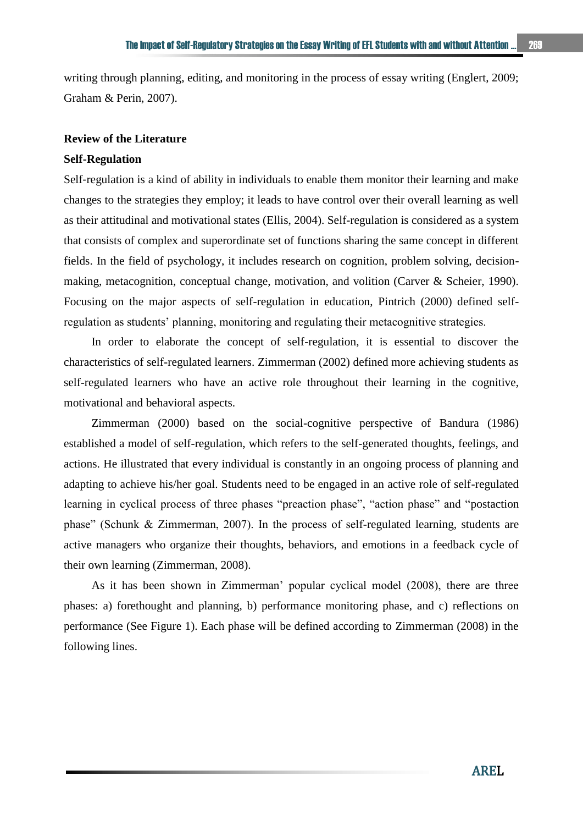writing through planning, editing, and monitoring in the process of essay writing (Englert, 2009; Graham & Perin, 2007).

## **Review of the Literature**

#### **Self-Regulation**

Self-regulation is a kind of ability in individuals to enable them monitor their learning and make changes to the strategies they employ; it leads to have control over their overall learning as well as their attitudinal and motivational states (Ellis, 2004). Self-regulation is considered as a system that consists of complex and superordinate set of functions sharing the same concept in different fields. In the field of psychology, it includes research on cognition, problem solving, decisionmaking, metacognition, conceptual change, motivation, and volition (Carver & Scheier, 1990). Focusing on the major aspects of self-regulation in education, Pintrich (2000) defined selfregulation as students' planning, monitoring and regulating their metacognitive strategies.

In order to elaborate the concept of self-regulation, it is essential to discover the characteristics of self-regulated learners. Zimmerman (2002) defined more achieving students as self-regulated learners who have an active role throughout their learning in the cognitive, motivational and behavioral aspects.

Zimmerman (2000) based on the social-cognitive perspective of Bandura (1986) established a model of self-regulation, which refers to the self-generated thoughts, feelings, and actions. He illustrated that every individual is constantly in an ongoing process of planning and adapting to achieve his/her goal. Students need to be engaged in an active role of self-regulated learning in cyclical process of three phases "preaction phase", "action phase" and "postaction phase" (Schunk & Zimmerman, 2007). In the process of self-regulated learning, students are active managers who organize their thoughts, behaviors, and emotions in a feedback cycle of their own learning (Zimmerman, 2008).

As it has been shown in Zimmerman' popular cyclical model (2008), there are three phases: a) forethought and planning, b) performance monitoring phase, and c) reflections on performance (See Figure 1). Each phase will be defined according to Zimmerman (2008) in the following lines.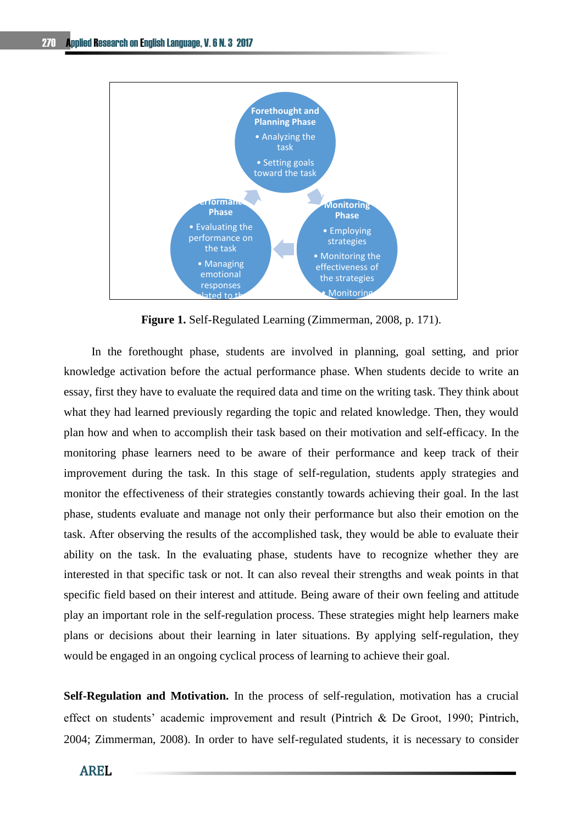

**Figure 1.** Self-Regulated Learning (Zimmerman, 2008, p. 171).

In the forethought phase, students are involved in planning, goal setting, and prior knowledge activation before the actual performance phase. When students decide to write an essay, first they have to evaluate the required data and time on the writing task. They think about what they had learned previously regarding the topic and related knowledge. Then, they would plan how and when to accomplish their task based on their motivation and self-efficacy. In the monitoring phase learners need to be aware of their performance and keep track of their improvement during the task. In this stage of self-regulation, students apply strategies and monitor the effectiveness of their strategies constantly towards achieving their goal. In the last phase, students evaluate and manage not only their performance but also their emotion on the task. After observing the results of the accomplished task, they would be able to evaluate their ability on the task. In the evaluating phase, students have to recognize whether they are interested in that specific task or not. It can also reveal their strengths and weak points in that specific field based on their interest and attitude. Being aware of their own feeling and attitude play an important role in the self-regulation process. These strategies might help learners make plans or decisions about their learning in later situations. By applying self-regulation, they would be engaged in an ongoing cyclical process of learning to achieve their goal.

**Self-Regulation and Motivation.** In the process of self-regulation, motivation has a crucial effect on students' academic improvement and result (Pintrich & De Groot, 1990; Pintrich, 2004; Zimmerman, 2008). In order to have self-regulated students, it is necessary to consider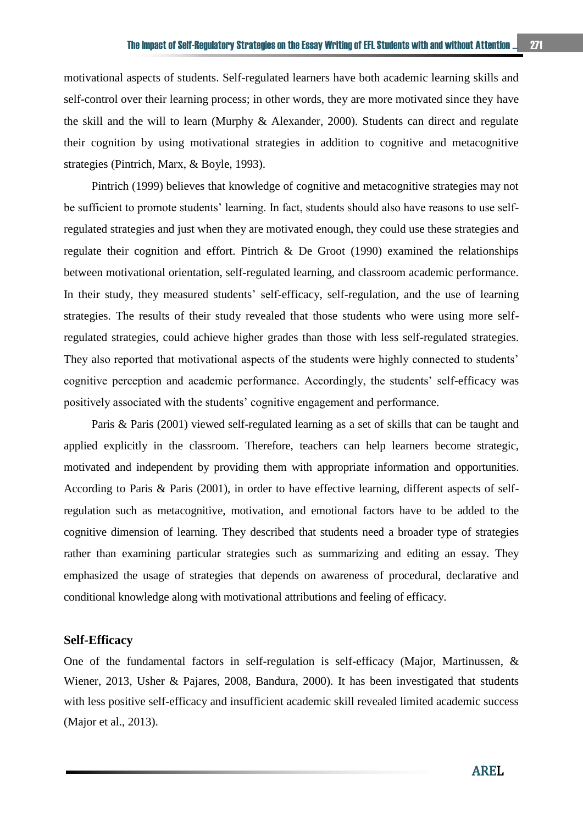motivational aspects of students. Self-regulated learners have both academic learning skills and self-control over their learning process; in other words, they are more motivated since they have the skill and the will to learn (Murphy & Alexander, 2000). Students can direct and regulate their cognition by using motivational strategies in addition to cognitive and metacognitive strategies (Pintrich, Marx, & Boyle, 1993).

Pintrich (1999) believes that knowledge of cognitive and metacognitive strategies may not be sufficient to promote students' learning. In fact, students should also have reasons to use selfregulated strategies and just when they are motivated enough, they could use these strategies and regulate their cognition and effort. Pintrich & De Groot (1990) examined the relationships between motivational orientation, self-regulated learning, and classroom academic performance. In their study, they measured students' self-efficacy, self-regulation, and the use of learning strategies. The results of their study revealed that those students who were using more selfregulated strategies, could achieve higher grades than those with less self-regulated strategies. They also reported that motivational aspects of the students were highly connected to students' cognitive perception and academic performance. Accordingly, the students' self-efficacy was positively associated with the students' cognitive engagement and performance.

Paris & Paris (2001) viewed self-regulated learning as a set of skills that can be taught and applied explicitly in the classroom. Therefore, teachers can help learners become strategic, motivated and independent by providing them with appropriate information and opportunities. According to Paris & Paris (2001), in order to have effective learning, different aspects of selfregulation such as metacognitive, motivation, and emotional factors have to be added to the cognitive dimension of learning. They described that students need a broader type of strategies rather than examining particular strategies such as summarizing and editing an essay. They emphasized the usage of strategies that depends on awareness of procedural, declarative and conditional knowledge along with motivational attributions and feeling of efficacy.

## **Self-Efficacy**

One of the fundamental factors in self-regulation is self-efficacy (Major, Martinussen, & Wiener, 2013, Usher & Pajares, 2008, Bandura, 2000). It has been investigated that students with less positive self-efficacy and insufficient academic skill revealed limited academic success (Major et al., 2013).

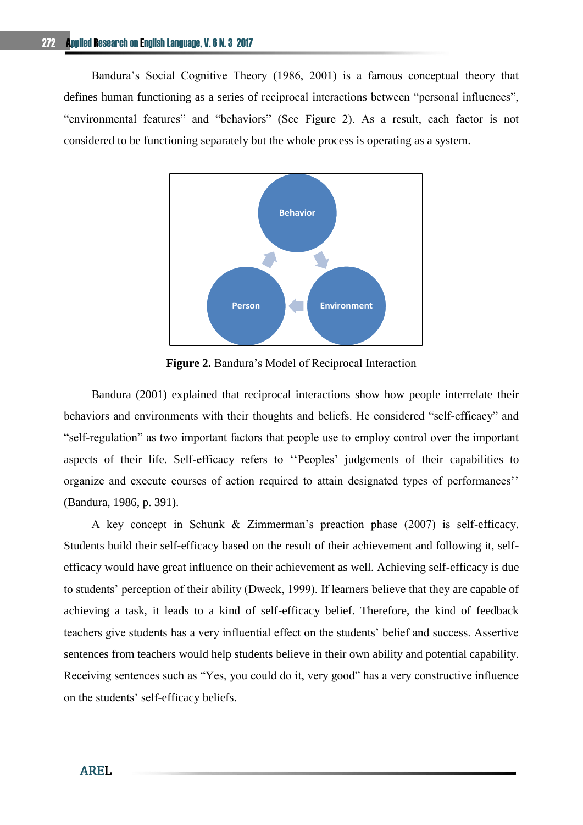Bandura's Social Cognitive Theory (1986, 2001) is a famous conceptual theory that defines human functioning as a series of reciprocal interactions between "personal influences", "environmental features" and "behaviors" (See Figure 2). As a result, each factor is not considered to be functioning separately but the whole process is operating as a system.



**Figure 2.** Bandura's Model of Reciprocal Interaction

Bandura (2001) explained that reciprocal interactions show how people interrelate their behaviors and environments with their thoughts and beliefs. He considered "self-efficacy" and "self-regulation" as two important factors that people use to employ control over the important aspects of their life. Self-efficacy refers to ''Peoples' judgements of their capabilities to organize and execute courses of action required to attain designated types of performances'' (Bandura, 1986, p. 391).

A key concept in Schunk & Zimmerman's preaction phase (2007) is self-efficacy. Students build their self-efficacy based on the result of their achievement and following it, selfefficacy would have great influence on their achievement as well. Achieving self-efficacy is due to students' perception of their ability (Dweck, 1999). If learners believe that they are capable of achieving a task, it leads to a kind of self-efficacy belief. Therefore, the kind of feedback teachers give students has a very influential effect on the students' belief and success. Assertive sentences from teachers would help students believe in their own ability and potential capability. Receiving sentences such as "Yes, you could do it, very good" has a very constructive influence on the students' self-efficacy beliefs.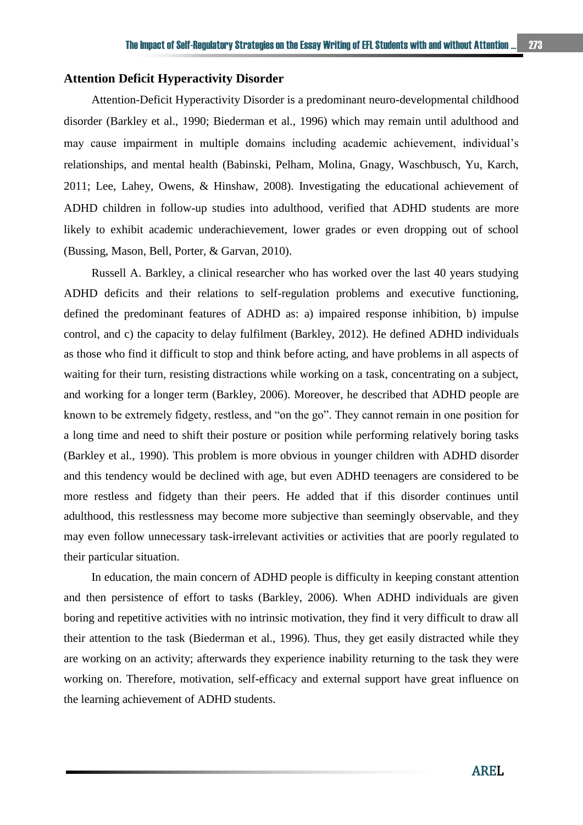## **Attention Deficit Hyperactivity Disorder**

Attention-Deficit Hyperactivity Disorder is a predominant neuro-developmental childhood disorder (Barkley et al., 1990; Biederman et al., 1996) which may remain until adulthood and may cause impairment in multiple domains including academic achievement, individual's relationships, and mental health (Babinski, Pelham, Molina, Gnagy, Waschbusch, Yu, Karch, 2011; Lee, Lahey, Owens, & Hinshaw, 2008). Investigating the educational achievement of ADHD children in follow-up studies into adulthood, verified that ADHD students are more likely to exhibit academic underachievement, lower grades or even dropping out of school (Bussing, Mason, Bell, Porter, & Garvan, 2010).

Russell A. Barkley, a clinical researcher who has worked over the last 40 years studying ADHD deficits and their relations to self-regulation problems and executive functioning, defined the predominant features of ADHD as: a) impaired response inhibition, b) impulse control, and c) the capacity to delay fulfilment (Barkley, 2012). He defined ADHD individuals as those who find it difficult to stop and think before acting, and have problems in all aspects of waiting for their turn, resisting distractions while working on a task, concentrating on a subject, and working for a longer term (Barkley, 2006). Moreover, he described that ADHD people are known to be extremely fidgety, restless, and "on the go". They cannot remain in one position for a long time and need to shift their posture or position while performing relatively boring tasks (Barkley et al., 1990). This problem is more obvious in younger children with ADHD disorder and this tendency would be declined with age, but even ADHD teenagers are considered to be more restless and fidgety than their peers. He added that if this disorder continues until adulthood, this restlessness may become more subjective than seemingly observable, and they may even follow unnecessary task-irrelevant activities or activities that are poorly regulated to their particular situation.

In education, the main concern of ADHD people is difficulty in keeping constant attention and then persistence of effort to tasks (Barkley, 2006). When ADHD individuals are given boring and repetitive activities with no intrinsic motivation, they find it very difficult to draw all their attention to the task (Biederman et al., 1996). Thus, they get easily distracted while they are working on an activity; afterwards they experience inability returning to the task they were working on. Therefore, motivation, self-efficacy and external support have great influence on the learning achievement of ADHD students.

AREL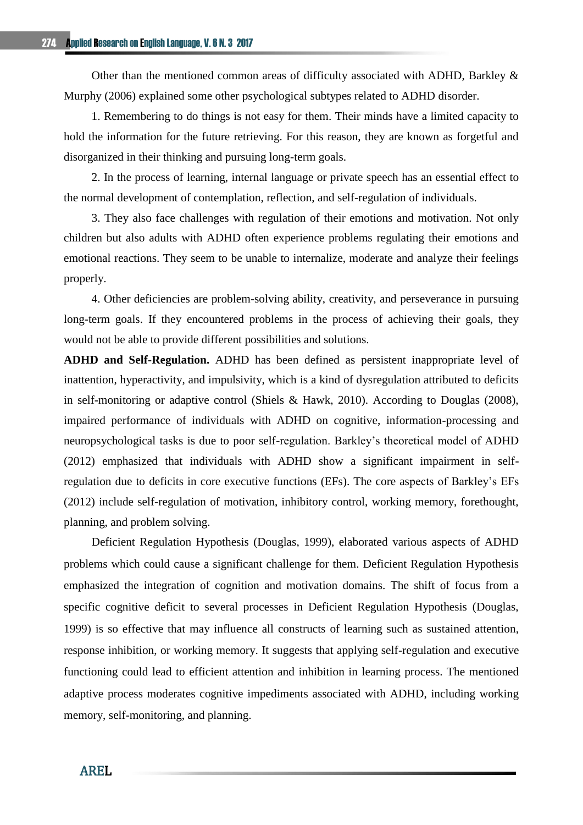Other than the mentioned common areas of difficulty associated with ADHD, Barkley & Murphy (2006) explained some other psychological subtypes related to ADHD disorder.

1. Remembering to do things is not easy for them. Their minds have a limited capacity to hold the information for the future retrieving. For this reason, they are known as forgetful and disorganized in their thinking and pursuing long-term goals.

2. In the process of learning, internal language or private speech has an essential effect to the normal development of contemplation, reflection, and self-regulation of individuals.

3. They also face challenges with regulation of their emotions and motivation. Not only children but also adults with ADHD often experience problems regulating their emotions and emotional reactions. They seem to be unable to internalize, moderate and analyze their feelings properly.

4. Other deficiencies are problem-solving ability, creativity, and perseverance in pursuing long-term goals. If they encountered problems in the process of achieving their goals, they would not be able to provide different possibilities and solutions.

**ADHD and Self-Regulation.** ADHD has been defined as persistent inappropriate level of inattention, hyperactivity, and impulsivity, which is a kind of dysregulation attributed to deficits in self-monitoring or adaptive control (Shiels & Hawk, 2010). According to Douglas (2008), impaired performance of individuals with ADHD on cognitive, information-processing and neuropsychological tasks is due to poor self-regulation. Barkley's theoretical model of ADHD (2012) emphasized that individuals with ADHD show a significant impairment in selfregulation due to deficits in core executive functions (EFs). The core aspects of Barkley's EFs (2012) include self-regulation of motivation, inhibitory control, working memory, forethought, planning, and problem solving.

Deficient Regulation Hypothesis (Douglas, 1999), elaborated various aspects of ADHD problems which could cause a significant challenge for them. Deficient Regulation Hypothesis emphasized the integration of cognition and motivation domains. The shift of focus from a specific cognitive deficit to several processes in Deficient Regulation Hypothesis (Douglas, 1999) is so effective that may influence all constructs of learning such as sustained attention, response inhibition, or working memory. It suggests that applying self-regulation and executive functioning could lead to efficient attention and inhibition in learning process. The mentioned adaptive process moderates cognitive impediments associated with ADHD, including working memory, self-monitoring, and planning.

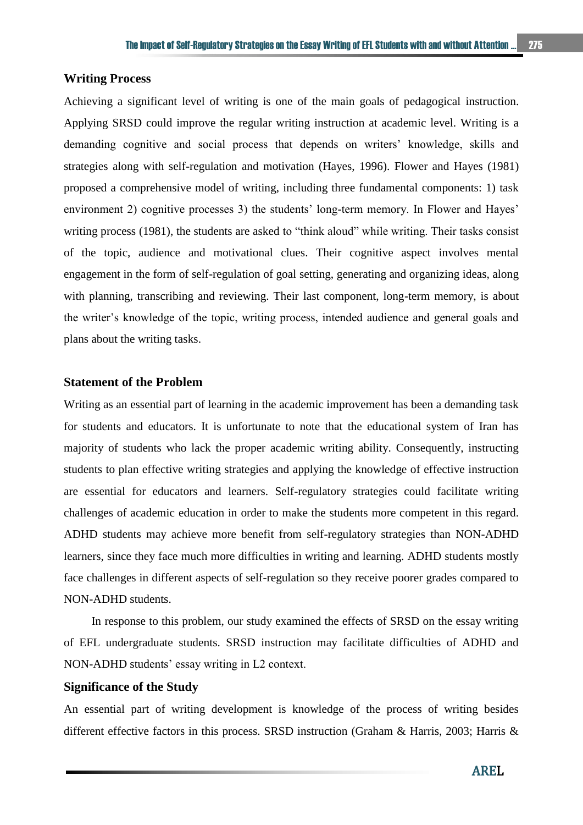## **Writing Process**

Achieving a significant level of writing is one of the main goals of pedagogical instruction. Applying SRSD could improve the regular writing instruction at academic level. Writing is a demanding cognitive and social process that depends on writers' knowledge, skills and strategies along with self-regulation and motivation (Hayes, 1996). Flower and Hayes (1981) proposed a comprehensive model of writing, including three fundamental components: 1) task environment 2) cognitive processes 3) the students' long-term memory. In Flower and Hayes' writing process (1981), the students are asked to "think aloud" while writing. Their tasks consist of the topic, audience and motivational clues. Their cognitive aspect involves mental engagement in the form of self-regulation of goal setting, generating and organizing ideas, along with planning, transcribing and reviewing. Their last component, long-term memory, is about the writer's knowledge of the topic, writing process, intended audience and general goals and plans about the writing tasks.

## **Statement of the Problem**

Writing as an essential part of learning in the academic improvement has been a demanding task for students and educators. It is unfortunate to note that the educational system of Iran has majority of students who lack the proper academic writing ability. Consequently, instructing students to plan effective writing strategies and applying the knowledge of effective instruction are essential for educators and learners. Self-regulatory strategies could facilitate writing challenges of academic education in order to make the students more competent in this regard. ADHD students may achieve more benefit from self-regulatory strategies than NON-ADHD learners, since they face much more difficulties in writing and learning. ADHD students mostly face challenges in different aspects of self-regulation so they receive poorer grades compared to NON-ADHD students.

In response to this problem, our study examined the effects of SRSD on the essay writing of EFL undergraduate students. SRSD instruction may facilitate difficulties of ADHD and NON-ADHD students' essay writing in L2 context.

## **Significance of the Study**

An essential part of writing development is knowledge of the process of writing besides different effective factors in this process. SRSD instruction (Graham & Harris, 2003; Harris &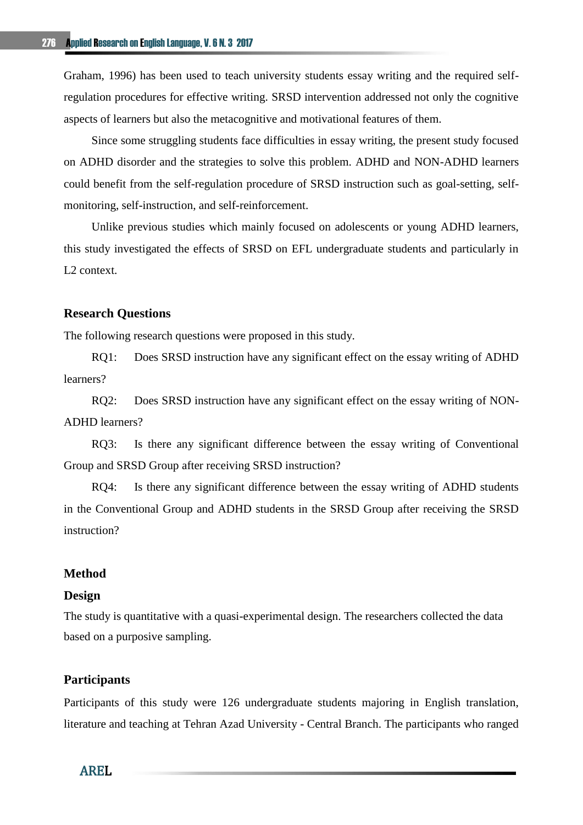Graham, 1996) has been used to teach university students essay writing and the required selfregulation procedures for effective writing. SRSD intervention addressed not only the cognitive aspects of learners but also the metacognitive and motivational features of them.

Since some struggling students face difficulties in essay writing, the present study focused on ADHD disorder and the strategies to solve this problem. ADHD and NON-ADHD learners could benefit from the self-regulation procedure of SRSD instruction such as goal-setting, selfmonitoring, self-instruction, and self-reinforcement.

Unlike previous studies which mainly focused on adolescents or young ADHD learners, this study investigated the effects of SRSD on EFL undergraduate students and particularly in L2 context.

#### **Research Questions**

The following research questions were proposed in this study.

RQ1: Does SRSD instruction have any significant effect on the essay writing of ADHD learners?

RQ2: Does SRSD instruction have any significant effect on the essay writing of NON-ADHD learners?

RQ3: Is there any significant difference between the essay writing of Conventional Group and SRSD Group after receiving SRSD instruction?

RQ4: Is there any significant difference between the essay writing of ADHD students in the Conventional Group and ADHD students in the SRSD Group after receiving the SRSD instruction?

## **Method**

#### **Design**

The study is quantitative with a quasi-experimental design. The researchers collected the data based on a purposive sampling.

## **Participants**

Participants of this study were 126 undergraduate students majoring in English translation, literature and teaching at Tehran Azad University - Central Branch. The participants who ranged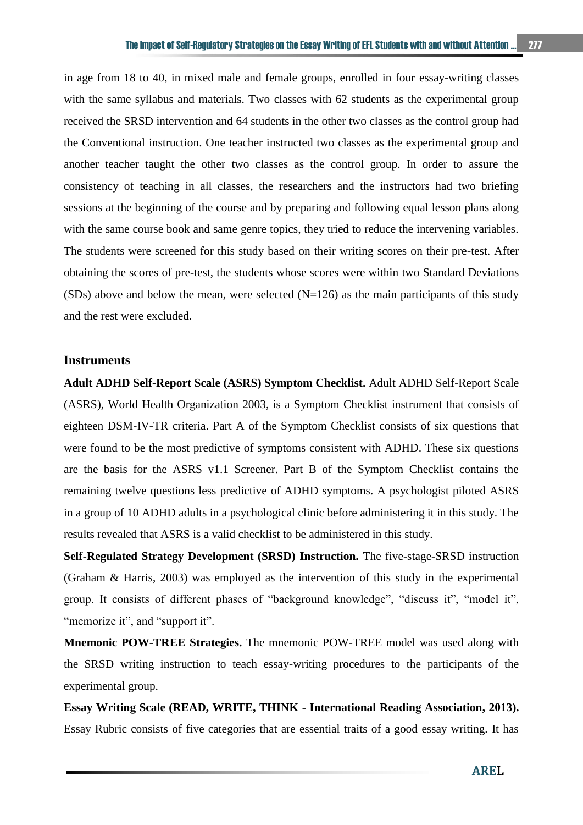in age from 18 to 40, in mixed male and female groups, enrolled in four essay-writing classes with the same syllabus and materials. Two classes with 62 students as the experimental group received the SRSD intervention and 64 students in the other two classes as the control group had the Conventional instruction. One teacher instructed two classes as the experimental group and another teacher taught the other two classes as the control group. In order to assure the consistency of teaching in all classes, the researchers and the instructors had two briefing sessions at the beginning of the course and by preparing and following equal lesson plans along with the same course book and same genre topics, they tried to reduce the intervening variables. The students were screened for this study based on their writing scores on their pre-test. After obtaining the scores of pre-test, the students whose scores were within two Standard Deviations (SDs) above and below the mean, were selected  $(N=126)$  as the main participants of this study and the rest were excluded.

## **Instruments**

**Adult ADHD Self-Report Scale (ASRS) Symptom Checklist.** Adult ADHD Self-Report Scale (ASRS), World Health Organization 2003, is a Symptom Checklist instrument that consists of eighteen DSM-IV-TR criteria. Part A of the Symptom Checklist consists of six questions that were found to be the most predictive of symptoms consistent with ADHD. These six questions are the basis for the ASRS v1.1 Screener. Part B of the Symptom Checklist contains the remaining twelve questions less predictive of ADHD symptoms. A psychologist piloted ASRS in a group of 10 ADHD adults in a psychological clinic before administering it in this study. The results revealed that ASRS is a valid checklist to be administered in this study.

**Self-Regulated Strategy Development (SRSD) Instruction.** The five-stage-SRSD instruction (Graham & Harris, 2003) was employed as the intervention of this study in the experimental group. It consists of different phases of "background knowledge", "discuss it", "model it", "memorize it", and "support it".

**Mnemonic POW-TREE Strategies.** The mnemonic POW-TREE model was used along with the SRSD writing instruction to teach essay-writing procedures to the participants of the experimental group.

**Essay Writing Scale (READ, WRITE, THINK - International Reading Association, 2013).**  Essay Rubric consists of five categories that are essential traits of a good essay writing. It has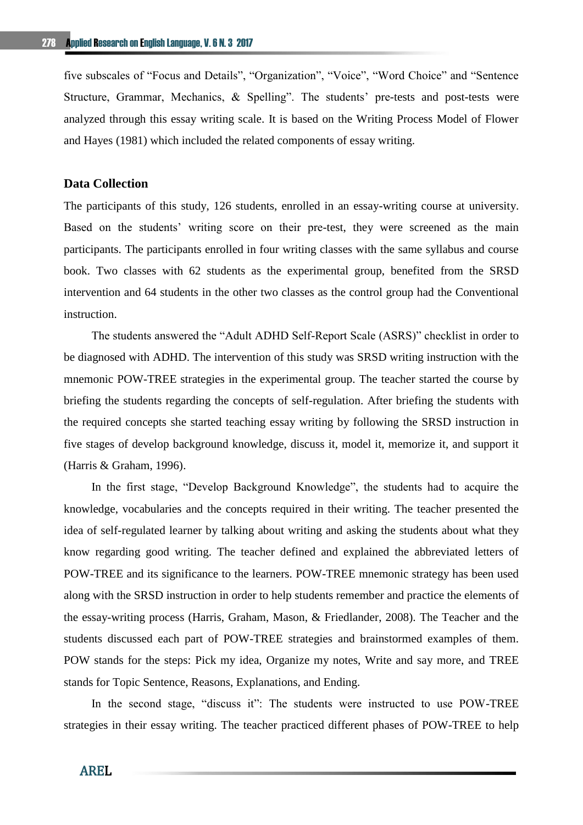five subscales of "Focus and Details", "Organization", "Voice", "Word Choice" and "Sentence Structure, Grammar, Mechanics, & Spelling". The students' pre-tests and post-tests were analyzed through this essay writing scale. It is based on the Writing Process Model of Flower and Hayes (1981) which included the related components of essay writing.

## **Data Collection**

The participants of this study, 126 students, enrolled in an essay-writing course at university. Based on the students' writing score on their pre-test, they were screened as the main participants. The participants enrolled in four writing classes with the same syllabus and course book. Two classes with 62 students as the experimental group, benefited from the SRSD intervention and 64 students in the other two classes as the control group had the Conventional instruction.

The students answered the "Adult ADHD Self-Report Scale (ASRS)" checklist in order to be diagnosed with ADHD. The intervention of this study was SRSD writing instruction with the mnemonic POW-TREE strategies in the experimental group. The teacher started the course by briefing the students regarding the concepts of self-regulation. After briefing the students with the required concepts she started teaching essay writing by following the SRSD instruction in five stages of develop background knowledge, discuss it, model it, memorize it, and support it (Harris & Graham, 1996).

In the first stage, "Develop Background Knowledge", the students had to acquire the knowledge, vocabularies and the concepts required in their writing. The teacher presented the idea of self-regulated learner by talking about writing and asking the students about what they know regarding good writing. The teacher defined and explained the abbreviated letters of POW-TREE and its significance to the learners. POW-TREE mnemonic strategy has been used along with the SRSD instruction in order to help students remember and practice the elements of the essay-writing process (Harris, Graham, Mason, & Friedlander, 2008). The Teacher and the students discussed each part of POW-TREE strategies and brainstormed examples of them. POW stands for the steps: Pick my idea, Organize my notes, Write and say more, and TREE stands for Topic Sentence, Reasons, Explanations, and Ending.

In the second stage, "discuss it": The students were instructed to use POW-TREE strategies in their essay writing. The teacher practiced different phases of POW-TREE to help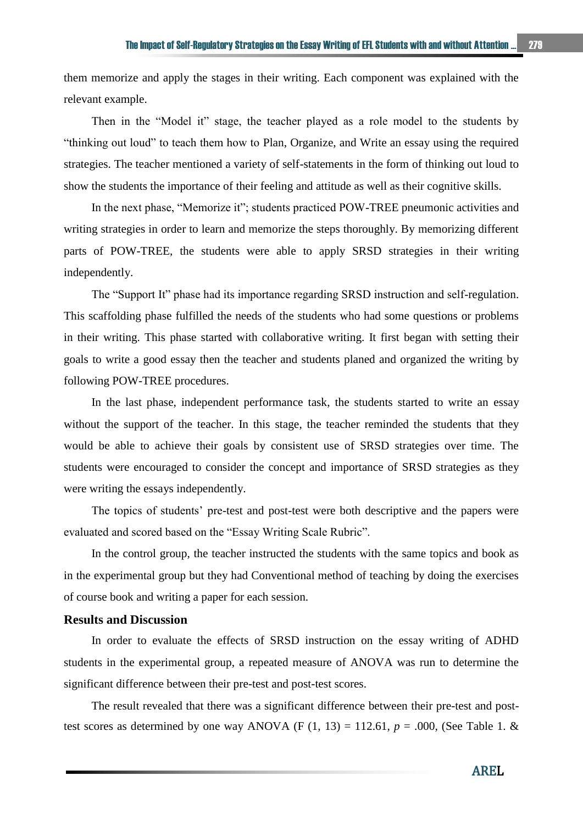them memorize and apply the stages in their writing. Each component was explained with the relevant example.

Then in the "Model it" stage, the teacher played as a role model to the students by "thinking out loud" to teach them how to Plan, Organize, and Write an essay using the required strategies. The teacher mentioned a variety of self-statements in the form of thinking out loud to show the students the importance of their feeling and attitude as well as their cognitive skills.

In the next phase, "Memorize it"; students practiced POW-TREE pneumonic activities and writing strategies in order to learn and memorize the steps thoroughly. By memorizing different parts of POW-TREE, the students were able to apply SRSD strategies in their writing independently.

The "Support It" phase had its importance regarding SRSD instruction and self-regulation. This scaffolding phase fulfilled the needs of the students who had some questions or problems in their writing. This phase started with collaborative writing. It first began with setting their goals to write a good essay then the teacher and students planed and organized the writing by following POW-TREE procedures.

In the last phase, independent performance task, the students started to write an essay without the support of the teacher. In this stage, the teacher reminded the students that they would be able to achieve their goals by consistent use of SRSD strategies over time. The students were encouraged to consider the concept and importance of SRSD strategies as they were writing the essays independently.

The topics of students' pre-test and post-test were both descriptive and the papers were evaluated and scored based on the "Essay Writing Scale Rubric".

In the control group, the teacher instructed the students with the same topics and book as in the experimental group but they had Conventional method of teaching by doing the exercises of course book and writing a paper for each session.

## **Results and Discussion**

In order to evaluate the effects of SRSD instruction on the essay writing of ADHD students in the experimental group, a repeated measure of ANOVA was run to determine the significant difference between their pre-test and post-test scores.

The result revealed that there was a significant difference between their pre-test and posttest scores as determined by one way ANOVA (F  $(1, 13) = 112.61$ ,  $p = .000$ , (See Table 1. &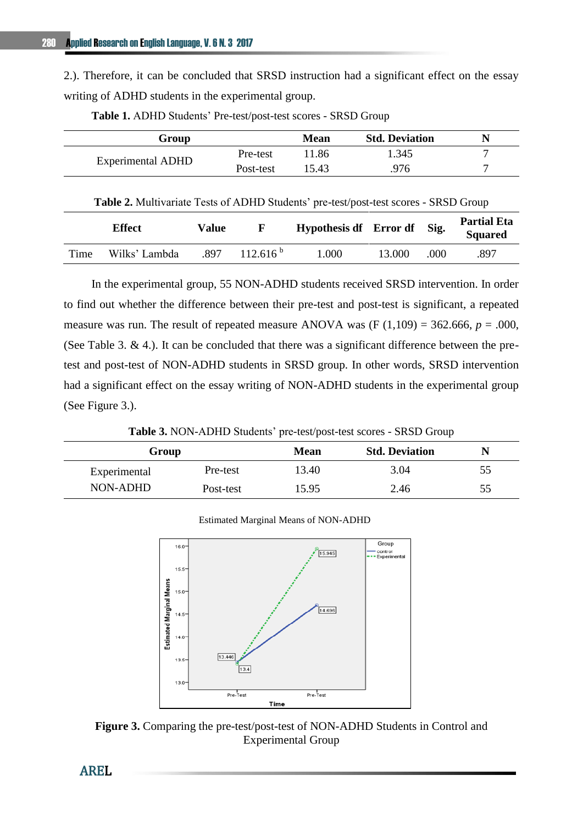2.). Therefore, it can be concluded that SRSD instruction had a significant effect on the essay writing of ADHD students in the experimental group.

| Group                    |           | Mean  | <b>Std. Deviation</b> |  |
|--------------------------|-----------|-------|-----------------------|--|
| <b>Experimental ADHD</b> | Pre-test  | 11.86 | 1.345                 |  |
|                          | Post-test | 15.43 | 976                   |  |

**Table 1.** ADHD Students' Pre-test/post-test scores - SRSD Group

**Table 2.** Multivariate Tests of ADHD Students' pre-test/post-test scores - SRSD Group

|      | <b>Effect</b> | Value | н             | Hypothesis df Error df |        | Sig. | <b>Partial Eta</b><br><b>Squared</b> |
|------|---------------|-------|---------------|------------------------|--------|------|--------------------------------------|
| Time | Wilks' Lambda | .897  | $112.616^{b}$ | 000.1                  | 13.000 | .000 | .897                                 |

In the experimental group, 55 NON-ADHD students received SRSD intervention. In order to find out whether the difference between their pre-test and post-test is significant, a repeated measure was run. The result of repeated measure ANOVA was  $(F (1,109) = 362.666, p = .000,$ (See Table 3. & 4.). It can be concluded that there was a significant difference between the pretest and post-test of NON-ADHD students in SRSD group. In other words, SRSD intervention had a significant effect on the essay writing of NON-ADHD students in the experimental group (See Figure 3.).

**Table 3.** NON-ADHD Students' pre-test/post-test scores - SRSD Group

| Group        |           | <b>Mean</b> | <b>Std. Deviation</b> |    |
|--------------|-----------|-------------|-----------------------|----|
| Experimental | Pre-test  | 13.40       | 3.04                  | 55 |
| NON-ADHD     | Post-test | 15.95       | 2.46                  | 55 |



**Figure 3.** Comparing the pre-test/post-test of NON-ADHD Students in Control and Experimental Group

Estimated Marginal Means of NON-ADHD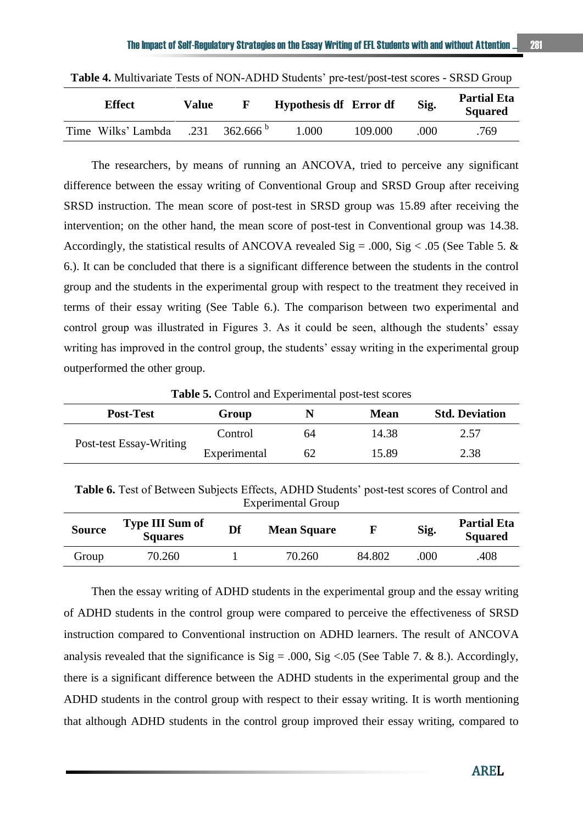| <b>Effect</b>      | Value |               | Hypothesis df Error df |         | Sig. | <b>Partial Eta</b><br><b>Squared</b> |
|--------------------|-------|---------------|------------------------|---------|------|--------------------------------------|
| Time Wilks' Lambda | .231  | $362.666^{b}$ | .000                   | 109.000 | .000 | .769                                 |

**Table 4.** Multivariate Tests of NON-ADHD Students' pre-test/post-test scores - SRSD Group

The researchers, by means of running an ANCOVA, tried to perceive any significant difference between the essay writing of Conventional Group and SRSD Group after receiving SRSD instruction. The mean score of post-test in SRSD group was 15.89 after receiving the intervention; on the other hand, the mean score of post-test in Conventional group was 14.38. Accordingly, the statistical results of ANCOVA revealed  $Sig = .000$ ,  $Sig < .05$  (See Table 5. & 6.). It can be concluded that there is a significant difference between the students in the control group and the students in the experimental group with respect to the treatment they received in terms of their essay writing (See Table 6.). The comparison between two experimental and control group was illustrated in Figures 3. As it could be seen, although the students' essay writing has improved in the control group, the students' essay writing in the experimental group outperformed the other group.

**Table 5.** Control and Experimental post-test scores

| <b>Post-Test</b>        | Group        | N  | <b>Mean</b> | <b>Std. Deviation</b> |
|-------------------------|--------------|----|-------------|-----------------------|
| Post-test Essay-Writing | Control      | 64 | 14.38       | 2.57                  |
|                         | Experimental | 62 | 15.89       | 2.38                  |

**Table 6.** Test of Between Subjects Effects, ADHD Students' post-test scores of Control and Experimental Group

| <b>Source</b> | <b>Type III Sum of</b><br><b>Squares</b> | Df | <b>Mean Square</b> |        | Sig. | <b>Partial Eta</b><br><b>Squared</b> |
|---------------|------------------------------------------|----|--------------------|--------|------|--------------------------------------|
| Group         | 70.260                                   |    | 70.260             | 84.802 | .000 | .408                                 |

Then the essay writing of ADHD students in the experimental group and the essay writing of ADHD students in the control group were compared to perceive the effectiveness of SRSD instruction compared to Conventional instruction on ADHD learners. The result of ANCOVA analysis revealed that the significance is  $Sig = .000$ ,  $Sig < .05$  (See Table 7. & 8.). Accordingly, there is a significant difference between the ADHD students in the experimental group and the ADHD students in the control group with respect to their essay writing. It is worth mentioning that although ADHD students in the control group improved their essay writing, compared to

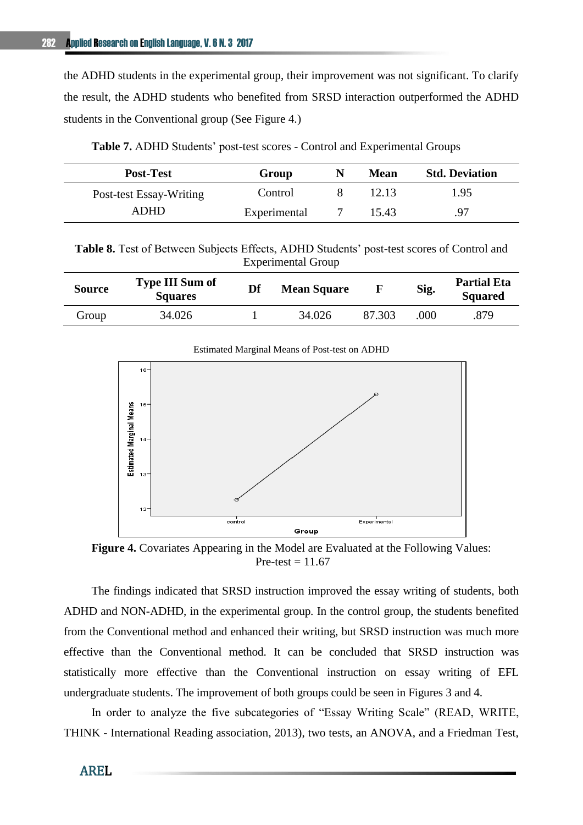the ADHD students in the experimental group, their improvement was not significant. To clarify the result, the ADHD students who benefited from SRSD interaction outperformed the ADHD students in the Conventional group (See Figure 4.)

| <b>Post-Test</b>        | Group        | <b>Mean</b> | <b>Std. Deviation</b> |
|-------------------------|--------------|-------------|-----------------------|
| Post-test Essay-Writing | Control      | 12.13       | 1.95                  |
| ADHD                    | Experimental | 15.43       | 97                    |

**Table 7.** ADHD Students' post-test scores - Control and Experimental Groups

| Table 8. Test of Between Subjects Effects, ADHD Students' post-test scores of Control and |                           |  |
|-------------------------------------------------------------------------------------------|---------------------------|--|
|                                                                                           | <b>Experimental Group</b> |  |

| Source | <b>Type III Sum of</b><br><b>Squares</b> | Df | <b>Mean Square</b> | F      | Sig. | <b>Partial Eta</b><br><b>Squared</b> |
|--------|------------------------------------------|----|--------------------|--------|------|--------------------------------------|
| Group  | 34.026                                   |    | 34.026             | 87.303 | .000 | .879                                 |

Estimated Marginal Means of Post-test on ADHD



**Figure 4.** Covariates Appearing in the Model are Evaluated at the Following Values: Pre-test  $= 11.67$ 

The findings indicated that SRSD instruction improved the essay writing of students, both ADHD and NON-ADHD, in the experimental group. In the control group, the students benefited from the Conventional method and enhanced their writing, but SRSD instruction was much more effective than the Conventional method. It can be concluded that SRSD instruction was statistically more effective than the Conventional instruction on essay writing of EFL undergraduate students. The improvement of both groups could be seen in Figures 3 and 4.

In order to analyze the five subcategories of "Essay Writing Scale" (READ, WRITE, THINK - International Reading association, 2013), two tests, an ANOVA, and a Friedman Test,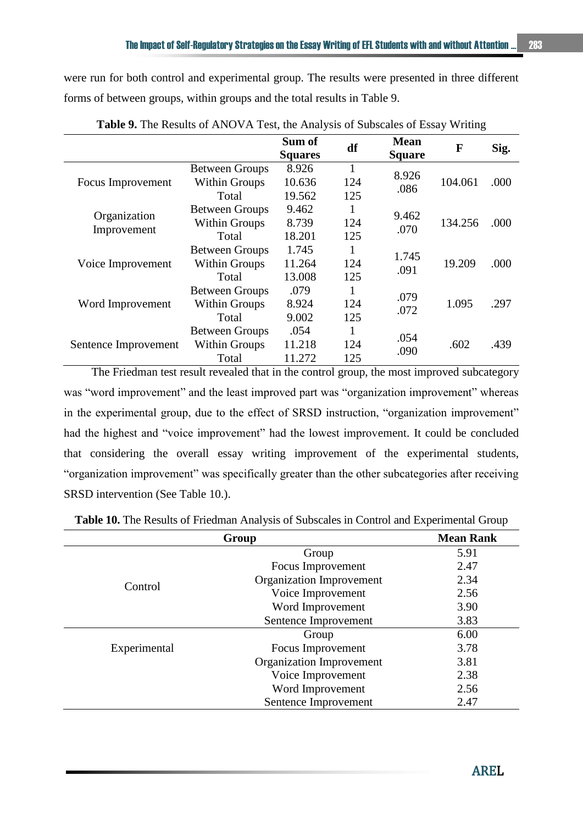were run for both control and experimental group. The results were presented in three different forms of between groups, within groups and the total results in Table 9.

|                      |                       | Sum of<br><b>Squares</b> | df           | <b>Mean</b><br><b>Square</b> | F       | Sig. |
|----------------------|-----------------------|--------------------------|--------------|------------------------------|---------|------|
|                      | <b>Between Groups</b> | 8.926                    | $\mathbf{1}$ | 8.926                        |         |      |
| Focus Improvement    | <b>Within Groups</b>  | 10.636                   | 124          | .086                         | 104.061 | .000 |
|                      | Total                 | 19.562                   | 125          |                              |         |      |
| Organization         | <b>Between Groups</b> | 9.462                    | 1            | 9.462                        |         |      |
|                      | Within Groups         | 8.739                    | 124          | .070                         | 134.256 | .000 |
| Improvement          | Total                 | 18.201                   | 125          |                              |         |      |
|                      | <b>Between Groups</b> | 1.745                    | $\mathbf{1}$ | 1.745                        |         |      |
| Voice Improvement    | <b>Within Groups</b>  | 11.264                   | 124          | .091                         | 19.209  | .000 |
|                      | Total                 | 13.008                   | 125          |                              |         |      |
|                      | <b>Between Groups</b> | .079                     | 1            | .079                         |         |      |
| Word Improvement     | <b>Within Groups</b>  | 8.924                    | 124          | .072                         | 1.095   | .297 |
|                      | Total                 | 9.002                    | 125          |                              |         |      |
|                      | <b>Between Groups</b> | .054                     | 1            | .054                         |         |      |
| Sentence Improvement | <b>Within Groups</b>  | 11.218                   | 124          | .090                         | .602    | .439 |
|                      | Total                 | 11.272                   | 125          |                              |         |      |

**Table 9.** The Results of ANOVA Test, the Analysis of Subscales of Essay Writing

The Friedman test result revealed that in the control group, the most improved subcategory was "word improvement" and the least improved part was "organization improvement" whereas in the experimental group, due to the effect of SRSD instruction, "organization improvement" had the highest and "voice improvement" had the lowest improvement. It could be concluded that considering the overall essay writing improvement of the experimental students, "organization improvement" was specifically greater than the other subcategories after receiving SRSD intervention (See Table 10.).

|              | <b>Mean Rank</b>         |      |
|--------------|--------------------------|------|
|              | Group                    | 5.91 |
|              | Focus Improvement        | 2.47 |
|              | Organization Improvement | 2.34 |
| Control      | Voice Improvement        | 2.56 |
|              | Word Improvement         | 3.90 |
|              | Sentence Improvement     | 3.83 |
|              | Group                    | 6.00 |
| Experimental | Focus Improvement        | 3.78 |
|              | Organization Improvement | 3.81 |
|              | Voice Improvement        | 2.38 |
|              | Word Improvement         | 2.56 |
|              | Sentence Improvement     | 2.47 |

**Table 10.** The Results of Friedman Analysis of Subscales in Control and Experimental Group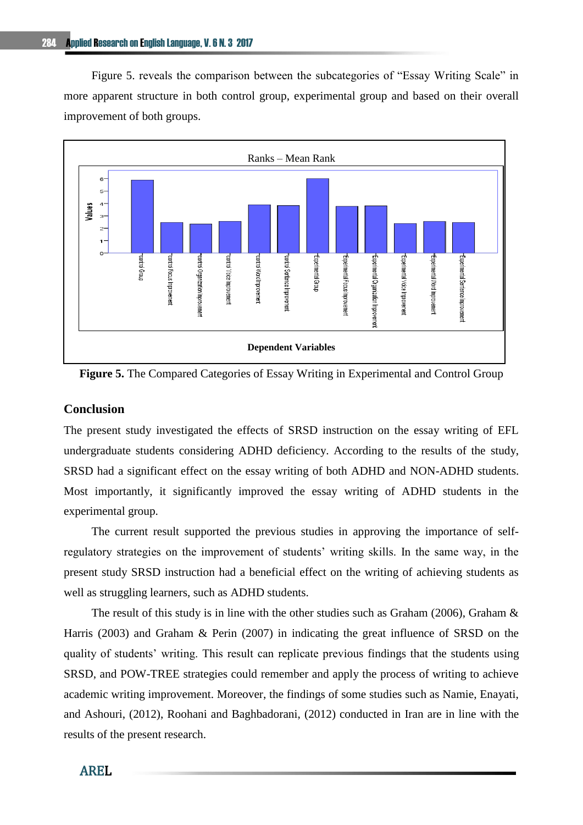Figure 5. reveals the comparison between the subcategories of "Essay Writing Scale" in more apparent structure in both control group, experimental group and based on their overall improvement of both groups.



**Figure 5.** The Compared Categories of Essay Writing in Experimental and Control Group

## **Conclusion**

The present study investigated the effects of SRSD instruction on the essay writing of EFL undergraduate students considering ADHD deficiency. According to the results of the study, SRSD had a significant effect on the essay writing of both ADHD and NON-ADHD students. Most importantly, it significantly improved the essay writing of ADHD students in the experimental group.

The current result supported the previous studies in approving the importance of selfregulatory strategies on the improvement of students' writing skills. In the same way, in the present study SRSD instruction had a beneficial effect on the writing of achieving students as well as struggling learners, such as ADHD students.

The result of this study is in line with the other studies such as Graham (2006), Graham & Harris (2003) and Graham & Perin (2007) in indicating the great influence of SRSD on the quality of students' writing. This result can replicate previous findings that the students using SRSD, and POW-TREE strategies could remember and apply the process of writing to achieve academic writing improvement. Moreover, the findings of some studies such as Namie, Enayati, and Ashouri, (2012), Roohani and Baghbadorani, (2012) conducted in Iran are in line with the results of the present research.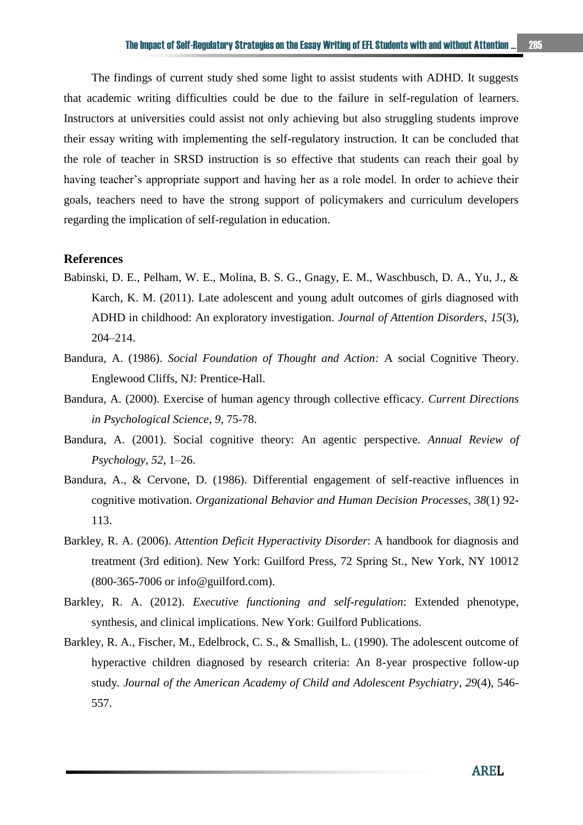The findings of current study shed some light to assist students with ADHD. It suggests that academic writing difficulties could be due to the failure in self-regulation of learners. Instructors at universities could assist not only achieving but also struggling students improve their essay writing with implementing the self-regulatory instruction. It can be concluded that the role of teacher in SRSD instruction is so effective that students can reach their goal by having teacher's appropriate support and having her as a role model. In order to achieve their goals, teachers need to have the strong support of policymakers and curriculum developers regarding the implication of self-regulation in education.

#### **References**

- Babinski, D. E., Pelham, W. E., Molina, B. S. G., Gnagy, E. M., Waschbusch, D. A., Yu, J., & Karch, K. M. (2011). Late adolescent and young adult outcomes of girls diagnosed with ADHD in childhood: An exploratory investigation. *Journal of Attention Disorders, 15*(3), 204–214.
- Bandura, A. (1986). *Social Foundation of Thought and Action:* A social Cognitive Theory. Englewood Cliffs, NJ: Prentice-Hall.
- Bandura, A. (2000). Exercise of human agency through collective efficacy. *Current Directions in Psychological Science*, *9*, 75-78.
- Bandura, A. (2001). Social cognitive theory: An agentic perspective. *Annual Review of Psychology*, *52*, 1–26.
- Bandura, A., & Cervone, D. (1986). Differential engagement of self-reactive influences in cognitive motivation. *Organizational Behavior and Human Decision Processes*, *38*(1) 92- 113.
- Barkley, R. A. (2006). *Attention Deficit Hyperactivity Disorder*: A handbook for diagnosis and treatment (3rd edition). New York: Guilford Press, 72 Spring St., New York, NY 10012 (800-365-7006 or info@guilford.com).
- Barkley, R. A. (2012). *Executive functioning and self-regulation*: Extended phenotype, synthesis, and clinical implications. New York: Guilford Publications.
- Barkley, R. A., Fischer, M., Edelbrock, C. S., & Smallish, L. (1990). The adolescent outcome of hyperactive children diagnosed by research criteria: An 8-year prospective follow-up study*. Journal of the American Academy of Child and Adolescent Psychiatry*, *29*(4), 546- 557.

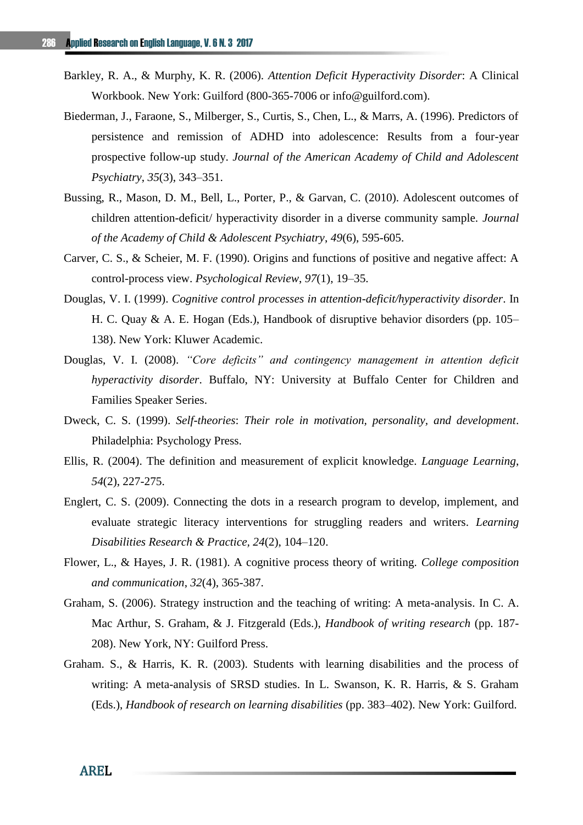- Barkley, R. A., & Murphy, K. R. (2006). *Attention Deficit Hyperactivity Disorder*: A Clinical Workbook. New York: Guilford (800-365-7006 or info@guilford.com).
- Biederman, J., Faraone, S., Milberger, S., Curtis, S., Chen, L., & Marrs, A. (1996). Predictors of persistence and remission of ADHD into adolescence: Results from a four-year prospective follow-up study. *Journal of the American Academy of Child and Adolescent Psychiatry*, *35*(3), 343–351.
- Bussing, R., Mason, D. M., Bell, L., Porter, P., & Garvan, C. (2010). Adolescent outcomes of children attention-deficit/ hyperactivity disorder in a diverse community sample. *Journal of the Academy of Child & Adolescent Psychiatry*, *49*(6), 595-605.
- Carver, C. S., & Scheier, M. F. (1990). Origins and functions of positive and negative affect: A control-process view. *Psychological Review*, *97*(1), 19–35.
- Douglas, V. I. (1999). *Cognitive control processes in attention-deficit/hyperactivity disorder*. In H. C. Quay & A. E. Hogan (Eds.), Handbook of disruptive behavior disorders (pp. 105– 138). New York: Kluwer Academic.
- Douglas, V. I. (2008). *"Core deficits" and contingency management in attention deficit hyperactivity disorder*. Buffalo, NY: University at Buffalo Center for Children and Families Speaker Series.
- Dweck, C. S. (1999). *Self-theories*: *Their role in motivation, personality, and development*. Philadelphia: Psychology Press.
- Ellis, R. (2004). The definition and measurement of explicit knowledge. *Language Learning*, *54*(2), 227-275.
- Englert, C. S. (2009). Connecting the dots in a research program to develop, implement, and evaluate strategic literacy interventions for struggling readers and writers. *Learning Disabilities Research & Practice, 24*(2), 104–120.
- Flower, L., & Hayes, J. R. (1981). A cognitive process theory of writing. *College composition and communication*, *32*(4), 365-387.
- Graham, S. (2006). Strategy instruction and the teaching of writing: A meta-analysis. In C. A. Mac Arthur, S. Graham, & J. Fitzgerald (Eds.), *Handbook of writing research* (pp. 187- 208). New York, NY: Guilford Press.
- Graham. S., & Harris, K. R. (2003). Students with learning disabilities and the process of writing: A meta-analysis of SRSD studies. In L. Swanson, K. R. Harris, & S. Graham (Eds.), *Handbook of research on learning disabilities* (pp. 383–402). New York: Guilford.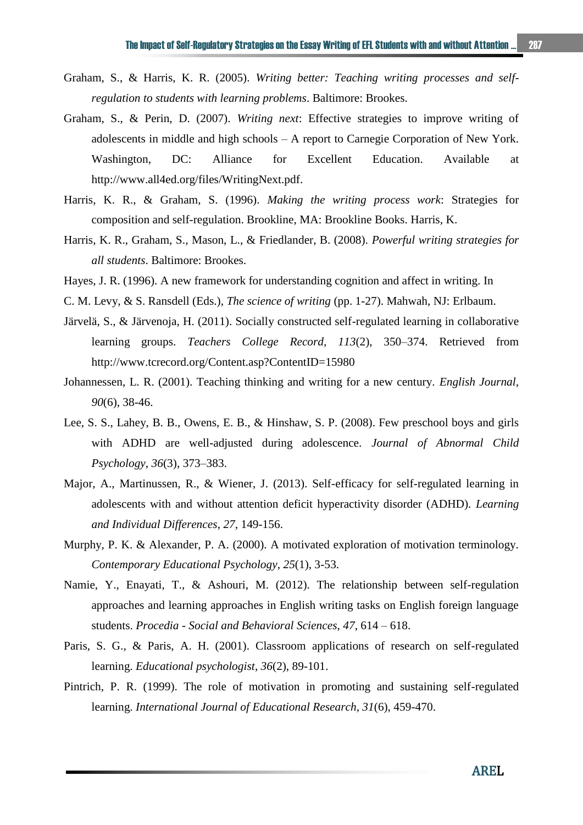- Graham, S., & Harris, K. R. (2005). *Writing better: Teaching writing processes and selfregulation to students with learning problems*. Baltimore: Brookes.
- Graham, S., & Perin, D. (2007). *Writing next*: Effective strategies to improve writing of adolescents in middle and high schools – A report to Carnegie Corporation of New York. Washington, DC: Alliance for Excellent Education. Available at [http://www.all4ed.org/files/WritingNext.pdf.](http://www.all4ed.org/files/WritingNext.pdf)
- Harris, K. R., & Graham, S. (1996). *Making the writing process work*: Strategies for composition and self-regulation. Brookline, MA: Brookline Books. Harris, K.
- Harris, K. R., Graham, S., Mason, L., & Friedlander, B. (2008). *Powerful writing strategies for all students*. Baltimore: Brookes.
- Hayes, J. R. (1996). A new framework for understanding cognition and affect in writing. In
- C. M. Levy, & S. Ransdell (Eds.), *The science of writing* (pp. 1-27). Mahwah, NJ: Erlbaum.
- Järvelä, S., & Järvenoja, H. (2011). Socially constructed self-regulated learning in collaborative learning groups. *Teachers College Record, 113*(2), 350–374. Retrieved from <http://www.tcrecord.org/Content.asp?ContentID=15980>
- Johannessen, L. R. (2001). Teaching thinking and writing for a new century. *English Journal*, *90*(6), 38-46.
- Lee, S. S., Lahey, B. B., Owens, E. B., & Hinshaw, S. P. (2008). Few preschool boys and girls with ADHD are well-adjusted during adolescence. *Journal of Abnormal Child Psychology*, *36*(3), 373–383.
- Major, A., Martinussen, R., & Wiener, J. (2013). Self-efficacy for self-regulated learning in adolescents with and without attention deficit hyperactivity disorder (ADHD). *Learning and Individual Differences*, *27*, 149-156.
- Murphy, P. K. & Alexander, P. A. (2000). A motivated exploration of motivation terminology. *Contemporary Educational Psychology*, *25*(1), 3-53.
- Namie, Y., Enayati, T., & Ashouri, M. (2012). The relationship between self-regulation approaches and learning approaches in English writing tasks on English foreign language students. *Procedia - Social and Behavioral Sciences*, *47*, 614 – 618.
- Paris, S. G., & Paris, A. H. (2001). Classroom applications of research on self-regulated learning. *Educational psychologist*, *36*(2), 89-101.
- Pintrich, P. R. (1999). The role of motivation in promoting and sustaining self-regulated learning. *International Journal of Educational Research*, *31*(6), 459-470.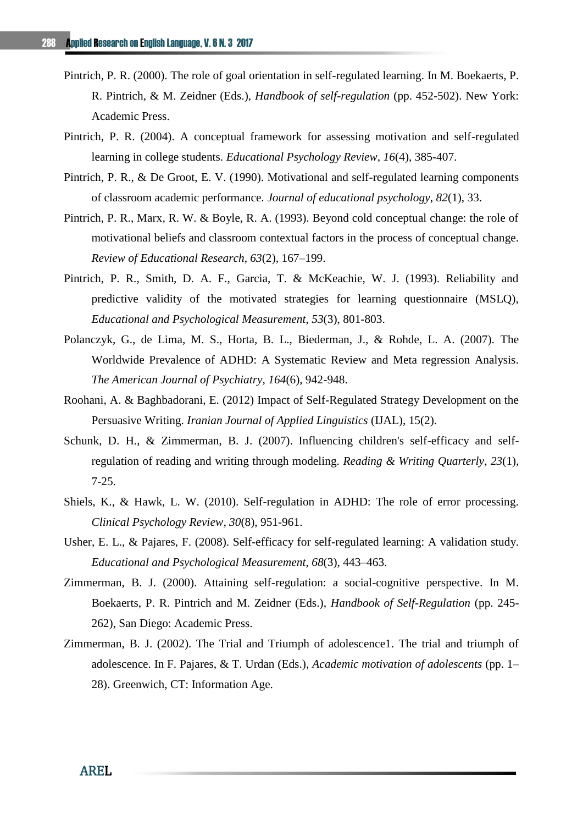- Pintrich, P. R. (2000). The role of goal orientation in self-regulated learning. In M. Boekaerts, P. R. Pintrich, & M. Zeidner (Eds.), *Handbook of self-regulation* (pp. 452-502). New York: Academic Press.
- Pintrich, P. R. (2004). A conceptual framework for assessing motivation and self-regulated learning in college students. *Educational Psychology Review, 16*(4), 385-407.
- Pintrich, P. R., & De Groot, E. V. (1990). Motivational and self-regulated learning components of classroom academic performance. *Journal of educational psychology*, *82*(1), 33.
- Pintrich, P. R., Marx, R. W. & Boyle, R. A. (1993). Beyond cold conceptual change: the role of motivational beliefs and classroom contextual factors in the process of conceptual change. *Review of Educational Research*, *63*(2), 167–199.
- Pintrich, P. R., Smith, D. A. F., Garcia, T. & McKeachie, W. J. (1993). Reliability and predictive validity of the motivated strategies for learning questionnaire (MSLQ), *Educational and Psychological Measurement*, *53*(3), 801-803.
- Polanczyk, G., de Lima, M. S., Horta, B. L., Biederman, J., & Rohde, L. A. (2007). The Worldwide Prevalence of ADHD: A Systematic Review and Meta regression Analysis. *The American Journal of Psychiatry*, *164*(6), 942-948.
- Roohani, A. & Baghbadorani, E. (2012) Impact of Self-Regulated Strategy Development on the Persuasive Writing. *Iranian Journal of Applied Linguistics* (IJAL), 15(2).
- Schunk, D. H., & Zimmerman, B. J. (2007). Influencing children's self-efficacy and selfregulation of reading and writing through modeling. *Reading & Writing Quarterly*, *23*(1), 7-25.
- Shiels, K., & Hawk, L. W. (2010). Self-regulation in ADHD: The role of error processing. *Clinical Psychology Review*, *30*(8), 951-961.
- Usher, E. L., & Pajares, F. (2008). Self-efficacy for self-regulated learning: A validation study. *Educational and Psychological Measurement*, *68*(3), 443–463.
- Zimmerman, B. J. (2000). Attaining self-regulation: a social-cognitive perspective. In M. Boekaerts, P. R. Pintrich and M. Zeidner (Eds.), *Handbook of Self-Regulation* (pp. 245- 262), San Diego: Academic Press.
- Zimmerman, B. J. (2002). The Trial and Triumph of adolescence1. The trial and triumph of adolescence. In F. Pajares, & T. Urdan (Eds.), *Academic motivation of adolescents* (pp. 1– 28). Greenwich, CT: Information Age.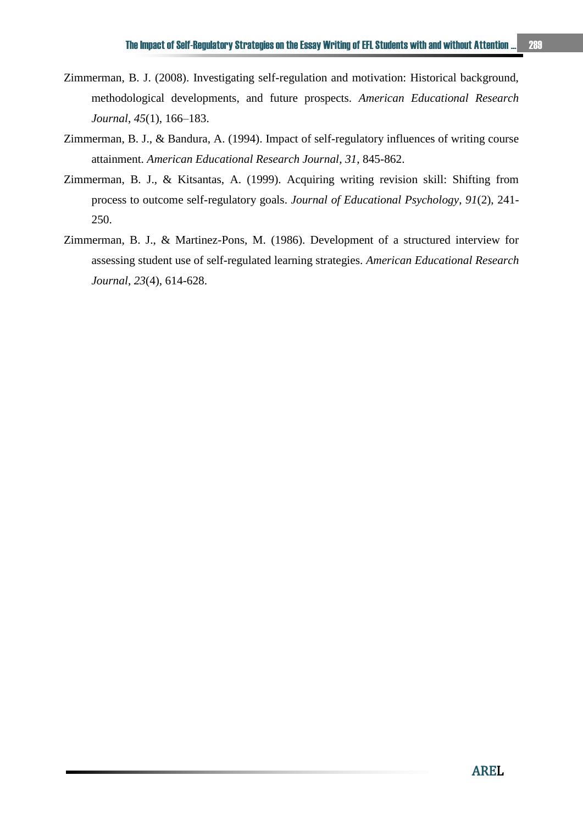- Zimmerman, B. J. (2008). Investigating self-regulation and motivation: Historical background, methodological developments, and future prospects. *American Educational Research Journal*, *45*(1), 166–183.
- Zimmerman, B. J., & Bandura, A. (1994). Impact of self-regulatory influences of writing course attainment. *American Educational Research Journal*, *31*, 845-862.
- Zimmerman, B. J., & Kitsantas, A. (1999). Acquiring writing revision skill: Shifting from process to outcome self-regulatory goals. *Journal of Educational Psychology*, *91*(2), 241- 250.
- Zimmerman, B. J., & Martinez-Pons, M. (1986). Development of a structured interview for assessing student use of self-regulated learning strategies. *American Educational Research Journal*, *23*(4), 614-628.